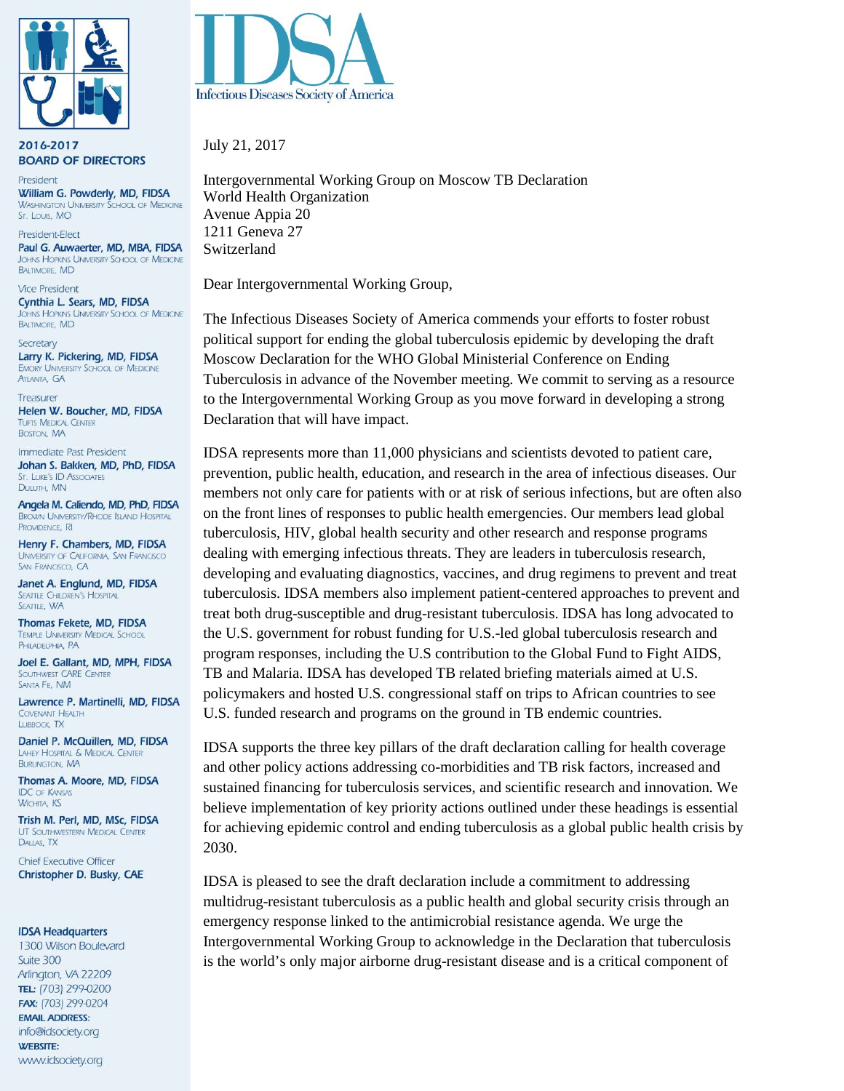

2016-2017 **BOARD OF DIRECTORS** 

President William G. Powderly, MD, FIDSA **WASHINGTON UNIVERSITY SCHOOL OF MEDICINE** St. Louis, MO

President-Elect Paul G. Auwaerter, MD, MBA, FIDSA JOHNS HOPKINS UNIVERSITY SCHOOL OF MEDICINE **BALTIMORE MD** 

**Vice President** Cynthia L. Sears, MD, FIDSA JOHNS HOPKINS UNIVERSITY SCHOOL OF MEDICINE **BALTIMORE, MD** 

Secretary Larry K. Pickering, MD, FIDSA **EMORY UNIVERSITY SCHOOL OF MEDICINE ATLANTA, GA** 

Treasurer Helen W. Boucher, MD, FIDSA **TUFTS MEDICAL CENTER** BOSTON, MA

Immediate Past President Johan S. Bakken, MD, PhD, FIDSA ST. LUKE'S ID ASSOCIATES DULUTH, MN

Angela M. Caliendo, MD, PhD, FIDSA **BROWN UNIVERSITY/RHODE ISLAND HOSPITAL** PROVIDENCE, RI

Henry F. Chambers, MD, FIDSA UNIVERSITY OF CALIFORNIA, SAN FRANCISCO SAN FRANCISCO, CA

Janet A. Englund, MD, FIDSA **SEATTLE CHILDREN'S HOSPITAL SEATTLE, WA** 

Thomas Fekete, MD, FIDSA **TEMPLE UNIVERSITY MEDICAL SCHOOL** PHILADELPHIA, PA

Joel E. Gallant, MD, MPH, FIDSA **SOUTHWEST CARE CENTER** SANTA FE, NM

Lawrence P. Martinelli, MD, FIDSA COVENANT HEALTH LUBBOCK, TX

Daniel P. McQuillen, MD, FIDSA LAHEY HOSPITAL & MEDICAL CENTER **BURLINGTON, MA** 

Thomas A. Moore, MD, FIDSA **IDC OF KANSAS WICHITA, KS** 

Trish M. Perl, MD, MSc, FIDSA UT SOUTHWESTERN MEDICAL CENTER DALLAS, TX

**Chief Executive Officer** Christopher D. Busky, CAE

## **IDSA Headquarters**

1300 Wilson Boulevard Suite 300 Arlington, VA 22209 TEL: (703) 299-0200 FAX: (703) 299-0204 **EMAIL ADDRESS:** info@idsociety.org **WEBSITE:** www.idsociety.org



July 21, 2017

Intergovernmental Working Group on Moscow TB Declaration World Health Organization Avenue Appia 20 1211 Geneva 27 Switzerland

Dear Intergovernmental Working Group,

The Infectious Diseases Society of America commends your efforts to foster robust political support for ending the global tuberculosis epidemic by developing the draft Moscow Declaration for the WHO Global Ministerial Conference on Ending Tuberculosis in advance of the November meeting. We commit to serving as a resource to the Intergovernmental Working Group as you move forward in developing a strong Declaration that will have impact.

IDSA represents more than 11,000 physicians and scientists devoted to patient care, prevention, public health, education, and research in the area of infectious diseases. Our members not only care for patients with or at risk of serious infections, but are often also on the front lines of responses to public health emergencies. Our members lead global tuberculosis, HIV, global health security and other research and response programs dealing with emerging infectious threats. They are leaders in tuberculosis research, developing and evaluating diagnostics, vaccines, and drug regimens to prevent and treat tuberculosis. IDSA members also implement patient-centered approaches to prevent and treat both drug-susceptible and drug-resistant tuberculosis. IDSA has long advocated to the U.S. government for robust funding for U.S.-led global tuberculosis research and program responses, including the U.S contribution to the Global Fund to Fight AIDS, TB and Malaria. IDSA has developed TB related briefing materials aimed at U.S. policymakers and hosted U.S. congressional staff on trips to African countries to see U.S. funded research and programs on the ground in TB endemic countries.

IDSA supports the three key pillars of the draft declaration calling for health coverage and other policy actions addressing co-morbidities and TB risk factors, increased and sustained financing for tuberculosis services, and scientific research and innovation. We believe implementation of key priority actions outlined under these headings is essential for achieving epidemic control and ending tuberculosis as a global public health crisis by 2030.

IDSA is pleased to see the draft declaration include a commitment to addressing multidrug-resistant tuberculosis as a public health and global security crisis through an emergency response linked to the antimicrobial resistance agenda. We urge the Intergovernmental Working Group to acknowledge in the Declaration that tuberculosis is the world's only major airborne drug-resistant disease and is a critical component of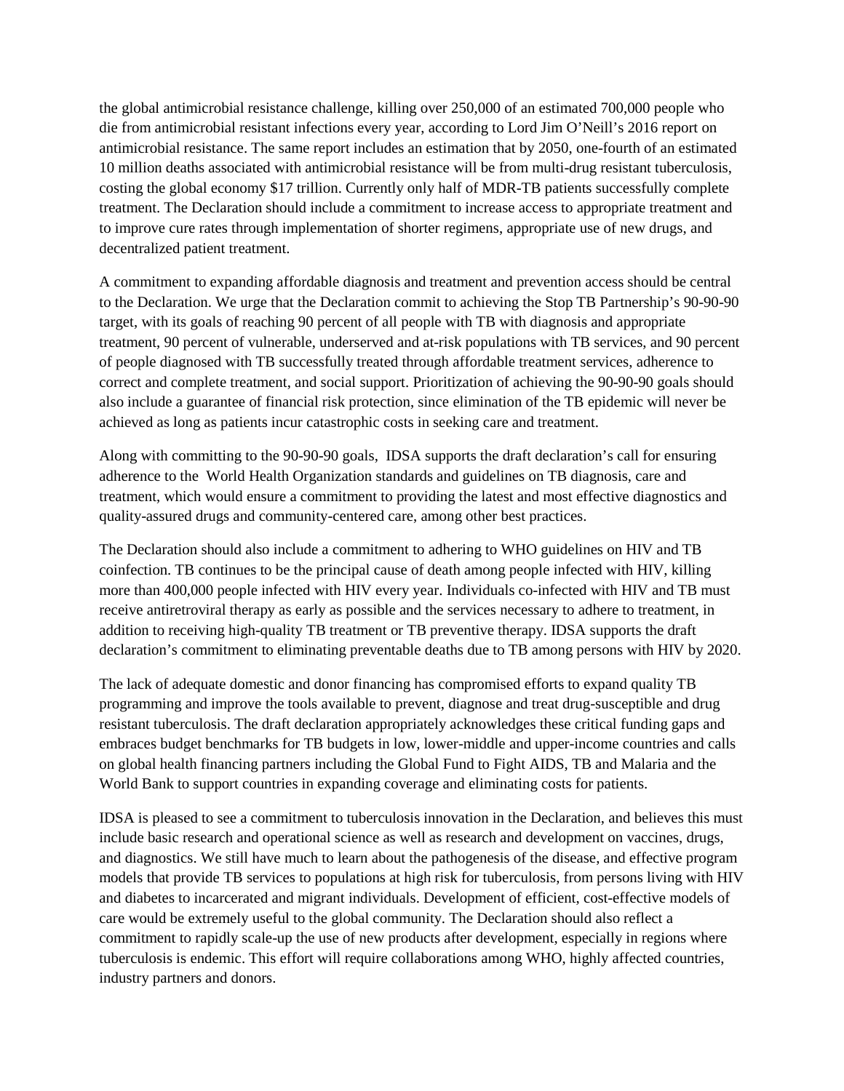the global antimicrobial resistance challenge, killing over 250,000 of an estimated 700,000 people who die from antimicrobial resistant infections every year, according to Lord Jim O'Neill's 2016 report on antimicrobial resistance. The same report includes an estimation that by 2050, one-fourth of an estimated 10 million deaths associated with antimicrobial resistance will be from multi-drug resistant tuberculosis, costing the global economy \$17 trillion. Currently only half of MDR-TB patients successfully complete treatment. The Declaration should include a commitment to increase access to appropriate treatment and to improve cure rates through implementation of shorter regimens, appropriate use of new drugs, and decentralized patient treatment.

A commitment to expanding affordable diagnosis and treatment and prevention access should be central to the Declaration. We urge that the Declaration commit to achieving the Stop TB Partnership's 90-90-90 target, with its goals of reaching 90 percent of all people with TB with diagnosis and appropriate treatment, 90 percent of vulnerable, underserved and at-risk populations with TB services, and 90 percent of people diagnosed with TB successfully treated through affordable treatment services, adherence to correct and complete treatment, and social support. Prioritization of achieving the 90-90-90 goals should also include a guarantee of financial risk protection, since elimination of the TB epidemic will never be achieved as long as patients incur catastrophic costs in seeking care and treatment.

Along with committing to the 90-90-90 goals, IDSA supports the draft declaration's call for ensuring adherence to the World Health Organization standards and guidelines on TB diagnosis, care and treatment, which would ensure a commitment to providing the latest and most effective diagnostics and quality-assured drugs and community-centered care, among other best practices.

The Declaration should also include a commitment to adhering to WHO guidelines on HIV and TB coinfection. TB continues to be the principal cause of death among people infected with HIV, killing more than 400,000 people infected with HIV every year. Individuals co-infected with HIV and TB must receive antiretroviral therapy as early as possible and the services necessary to adhere to treatment, in addition to receiving high-quality TB treatment or TB preventive therapy. IDSA supports the draft declaration's commitment to eliminating preventable deaths due to TB among persons with HIV by 2020.

The lack of adequate domestic and donor financing has compromised efforts to expand quality TB programming and improve the tools available to prevent, diagnose and treat drug-susceptible and drug resistant tuberculosis. The draft declaration appropriately acknowledges these critical funding gaps and embraces budget benchmarks for TB budgets in low, lower-middle and upper-income countries and calls on global health financing partners including the Global Fund to Fight AIDS, TB and Malaria and the World Bank to support countries in expanding coverage and eliminating costs for patients.

IDSA is pleased to see a commitment to tuberculosis innovation in the Declaration, and believes this must include basic research and operational science as well as research and development on vaccines, drugs, and diagnostics. We still have much to learn about the pathogenesis of the disease, and effective program models that provide TB services to populations at high risk for tuberculosis, from persons living with HIV and diabetes to incarcerated and migrant individuals. Development of efficient, cost-effective models of care would be extremely useful to the global community. The Declaration should also reflect a commitment to rapidly scale-up the use of new products after development, especially in regions where tuberculosis is endemic. This effort will require collaborations among WHO, highly affected countries, industry partners and donors.